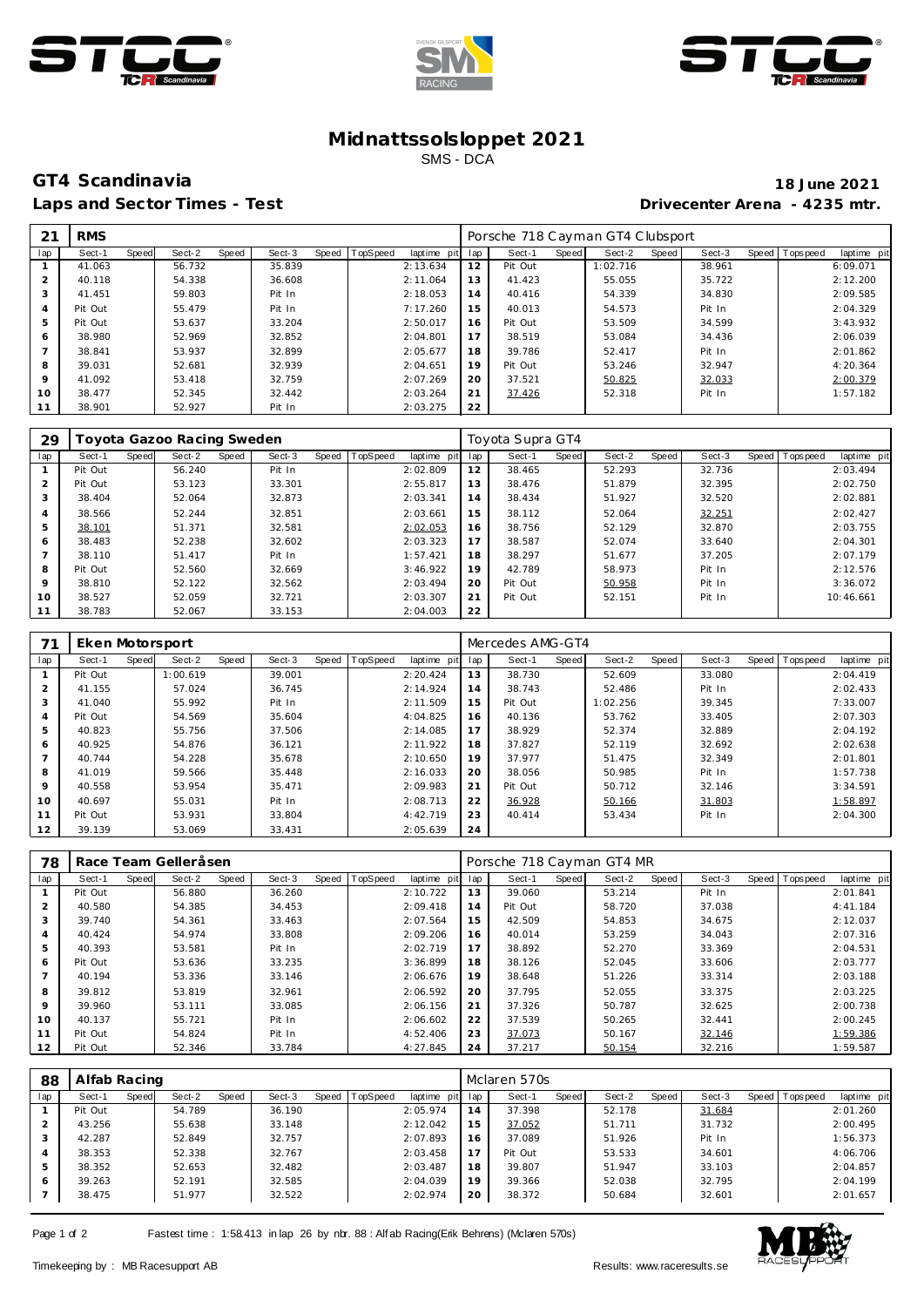





## **Midnattssolsloppet 2021** SMS - DCA

## **GT4 Scandinavia 18 June 2021** Laps and Sector Times - Test **Drivecenter Arena - 4235 mtr.**

| 21             | <b>RMS</b> |       |        |       |        |       |          |             |     | Porsche 718 Cayman GT4 Clubsport |       |          |       |        |  |                |             |  |  |
|----------------|------------|-------|--------|-------|--------|-------|----------|-------------|-----|----------------------------------|-------|----------|-------|--------|--|----------------|-------------|--|--|
| lap            | Sect-1     | Speed | Sect-2 | Speed | Sect-3 | Speed | TopSpeed | laptime pit | lap | Sect-1                           | Speed | Sect-2   | Speed | Sect-3 |  | Speed Topspeed | laptime pit |  |  |
|                | 41.063     |       | 56.732 |       | 35.839 |       |          | 2:13.634    | 12  | Pit Out                          |       | 1:02.716 |       | 38.961 |  |                | 6:09.071    |  |  |
| 2              | 40.118     |       | 54.338 |       | 36.608 |       |          | 2:11.064    | 13  | 41.423                           |       | 55.055   |       | 35.722 |  |                | 2:12.200    |  |  |
| 3              | 41.451     |       | 59.803 |       | Pit In |       |          | 2:18.053    | 14  | 40.416                           |       | 54.339   |       | 34.830 |  |                | 2:09.585    |  |  |
| 4              | Pit Out    |       | 55.479 |       | Pit In |       |          | 7:17.260    | 15  | 40.013                           |       | 54.573   |       | Pit In |  |                | 2:04.329    |  |  |
| 5              | Pit Out    |       | 53.637 |       | 33.204 |       |          | 2:50.017    | 16  | Pit Out                          |       | 53.509   |       | 34.599 |  |                | 3:43.932    |  |  |
| 6              | 38.980     |       | 52.969 |       | 32.852 |       |          | 2:04.801    | 17  | 38.519                           |       | 53.084   |       | 34.436 |  |                | 2:06.039    |  |  |
| $\overline{ }$ | 38.841     |       | 53.937 |       | 32.899 |       |          | 2:05.677    | 18  | 39.786                           |       | 52.417   |       | Pit In |  |                | 2:01.862    |  |  |
| 8              | 39.031     |       | 52.681 |       | 32.939 |       |          | 2:04.651    | 19  | Pit Out                          |       | 53.246   |       | 32.947 |  |                | 4:20.364    |  |  |
| 9              | 41.092     |       | 53.418 |       | 32.759 |       |          | 2:07.269    | 20  | 37.521                           |       | 50.825   |       | 32.033 |  |                | 2:00.379    |  |  |
| 10             | 38.477     |       | 52.345 |       | 32.442 |       |          | 2:03.264    | 21  | 37.426                           |       | 52.318   |       | Pit In |  |                | 1:57.182    |  |  |
| 11             | 38.901     |       | 52.927 |       | Pit In |       |          | 2:03.275    | 22  |                                  |       |          |       |        |  |                |             |  |  |

| 29             | Toyota Gazoo Racing Sweden |       |        |       |        |                |             | Toyota Supra GT4 |         |       |        |       |        |  |                |             |  |  |
|----------------|----------------------------|-------|--------|-------|--------|----------------|-------------|------------------|---------|-------|--------|-------|--------|--|----------------|-------------|--|--|
| lap            | Sect-1                     | Speed | Sect-2 | Speed | Sect-3 | Speed TopSpeed | laptime pit | lap              | Sect-1  | Speed | Sect-2 | Speed | Sect-3 |  | Speed Topspeed | laptime pit |  |  |
|                | Pit Out                    |       | 56.240 |       | Pit In |                | 2:02.809    | 12               | 38.465  |       | 52.293 |       | 32.736 |  |                | 2:03.494    |  |  |
| $\overline{2}$ | Pit Out                    |       | 53.123 |       | 33.301 |                | 2:55.817    | 13               | 38.476  |       | 51.879 |       | 32.395 |  |                | 2:02.750    |  |  |
| 3              | 38.404                     |       | 52.064 |       | 32.873 |                | 2:03.341    | 14               | 38.434  |       | 51.927 |       | 32.520 |  |                | 2:02.881    |  |  |
| $\overline{4}$ | 38.566                     |       | 52.244 |       | 32.851 |                | 2:03.661    | 15               | 38.112  |       | 52.064 |       | 32.251 |  |                | 2:02.427    |  |  |
| 5              | 38.101                     |       | 51.371 |       | 32.581 |                | 2:02.053    | 16               | 38.756  |       | 52.129 |       | 32.870 |  |                | 2:03.755    |  |  |
| 6              | 38.483                     |       | 52.238 |       | 32.602 |                | 2:03.323    | 17               | 38.587  |       | 52.074 |       | 33.640 |  |                | 2:04.301    |  |  |
|                | 38.110                     |       | 51.417 |       | Pit In |                | 1:57.421    | 18               | 38.297  |       | 51.677 |       | 37.205 |  |                | 2:07.179    |  |  |
| 8              | Pit Out                    |       | 52.560 |       | 32.669 |                | 3:46.922    | 19               | 42.789  |       | 58.973 |       | Pit In |  |                | 2:12.576    |  |  |
| 9              | 38.810                     |       | 52.122 |       | 32.562 |                | 2:03.494    | 20               | Pit Out |       | 50.958 |       | Pit In |  |                | 3:36.072    |  |  |
| 10             | 38.527                     |       | 52.059 |       | 32.721 |                | 2:03.307    | 21               | Pit Out |       | 52.151 |       | Pit In |  |                | 10:46.661   |  |  |
| 11             | 38.783                     |       | 52.067 |       | 33.153 |                | 2:04.003    | 22               |         |       |        |       |        |  |                |             |  |  |

| 71                       | Eken Motorsport |       |          |       |        |                |             | Mercedes AMG-GT4 |         |       |          |       |        |  |                |             |  |  |
|--------------------------|-----------------|-------|----------|-------|--------|----------------|-------------|------------------|---------|-------|----------|-------|--------|--|----------------|-------------|--|--|
| lap                      | Sect-1          | Speed | Sect-2   | Speed | Sect-3 | Speed TopSpeed | laptime pit | lap              | Sect-1  | Speed | Sect-2   | Speed | Sect-3 |  | Speed Topspeed | laptime pit |  |  |
|                          | Pit Out         |       | 1:00.619 |       | 39.001 |                | 2:20.424    | 13               | 38.730  |       | 52.609   |       | 33.080 |  |                | 2:04.419    |  |  |
| 2                        | 41.155          |       | 57.024   |       | 36.745 |                | 2:14.924    | 14               | 38.743  |       | 52.486   |       | Pit In |  |                | 2:02.433    |  |  |
| 3                        | 41.040          |       | 55.992   |       | Pit In |                | 2:11.509    | 15               | Pit Out |       | 1:02.256 |       | 39.345 |  |                | 7:33.007    |  |  |
| 4                        | Pit Out         |       | 54.569   |       | 35.604 |                | 4:04.825    | 16               | 40.136  |       | 53.762   |       | 33.405 |  |                | 2:07.303    |  |  |
| 5                        | 40.823          |       | 55.756   |       | 37.506 |                | 2:14.085    | 17               | 38.929  |       | 52.374   |       | 32.889 |  |                | 2:04.192    |  |  |
| 6                        | 40.925          |       | 54.876   |       | 36.121 |                | 2:11.922    | 18               | 37.827  |       | 52.119   |       | 32.692 |  |                | 2:02.638    |  |  |
| $\overline{\phantom{a}}$ | 40.744          |       | 54.228   |       | 35.678 |                | 2:10.650    | 19               | 37.977  |       | 51.475   |       | 32.349 |  |                | 2:01.801    |  |  |
| 8                        | 41.019          |       | 59.566   |       | 35.448 |                | 2:16.033    | 20               | 38.056  |       | 50.985   |       | Pit In |  |                | 1:57.738    |  |  |
| 9                        | 40.558          |       | 53.954   |       | 35.471 |                | 2:09.983    | 21               | Pit Out |       | 50.712   |       | 32.146 |  |                | 3:34.591    |  |  |
| 10                       | 40.697          |       | 55.031   |       | Pit In |                | 2:08.713    | 22               | 36.928  |       | 50.166   |       | 31.803 |  |                | 1:58.897    |  |  |
|                          | Pit Out         |       | 53.931   |       | 33.804 |                | 4:42.719    | 23               | 40.414  |       | 53.434   |       | Pit In |  |                | 2:04.300    |  |  |
| 12                       | 39.139          |       | 53.069   |       | 33.431 |                | 2:05.639    | 24               |         |       |          |       |        |  |                |             |  |  |

| 78  |         |       | Race Team Gelleråsen |       |        |                |             | Porsche 718 Cayman GT4 MR |         |       |        |       |        |       |           |             |  |  |
|-----|---------|-------|----------------------|-------|--------|----------------|-------------|---------------------------|---------|-------|--------|-------|--------|-------|-----------|-------------|--|--|
| lap | Sect-1  | Speed | Sect-2               | Speed | Sect-3 | Speed TopSpeed | laptime pit | lap                       | Sect-1  | Speed | Sect-2 | Speed | Sect-3 | Speed | Tops peed | laptime pit |  |  |
|     | Pit Out |       | 56.880               |       | 36.260 |                | 2:10.722    | 13                        | 39.060  |       | 53.214 |       | Pit In |       |           | 2:01.841    |  |  |
| 2   | 40.580  |       | 54.385               |       | 34.453 |                | 2:09.418    | 14                        | Pit Out |       | 58.720 |       | 37.038 |       |           | 4:41.184    |  |  |
| 3   | 39.740  |       | 54.361               |       | 33.463 |                | 2:07.564    | 15                        | 42.509  |       | 54.853 |       | 34.675 |       |           | 2:12.037    |  |  |
| 4   | 40.424  |       | 54.974               |       | 33.808 |                | 2:09.206    | 16                        | 40.014  |       | 53.259 |       | 34.043 |       |           | 2:07.316    |  |  |
| 5   | 40.393  |       | 53.581               |       | Pit In |                | 2:02.719    | 17                        | 38.892  |       | 52.270 |       | 33.369 |       |           | 2:04.531    |  |  |
| 6   | Pit Out |       | 53.636               |       | 33.235 |                | 3:36.899    | 18                        | 38.126  |       | 52.045 |       | 33.606 |       |           | 2:03.777    |  |  |
|     | 40.194  |       | 53.336               |       | 33.146 |                | 2:06.676    | 19                        | 38.648  |       | 51.226 |       | 33.314 |       |           | 2:03.188    |  |  |
| 8   | 39.812  |       | 53.819               |       | 32.961 |                | 2:06.592    | 20                        | 37.795  |       | 52.055 |       | 33.375 |       |           | 2:03.225    |  |  |
| 9   | 39.960  |       | 53.111               |       | 33.085 |                | 2:06.156    | 21                        | 37.326  |       | 50.787 |       | 32.625 |       |           | 2:00.738    |  |  |
| 10  | 40.137  |       | 55.721               |       | Pit In |                | 2:06.602    | 22                        | 37.539  |       | 50.265 |       | 32.441 |       |           | 2:00.245    |  |  |
| 11  | Pit Out |       | 54.824               |       | Pit In |                | 4:52.406    | 23                        | 37.073  |       | 50.167 |       | 32.146 |       |           | 1:59.386    |  |  |
| 12  | Pit Out |       | 52.346               |       | 33.784 |                | 4:27.845    | 24                        | 37.217  |       | 50.154 |       | 32.216 |       |           | 1:59.587    |  |  |

| 88  | Alfab Racing |       |        |       |        |  |                  |             |     | Mclaren 570s |       |        |       |        |  |                   |             |  |  |  |
|-----|--------------|-------|--------|-------|--------|--|------------------|-------------|-----|--------------|-------|--------|-------|--------|--|-------------------|-------------|--|--|--|
| lap | Sect-1       | Speed | Sect-2 | Speed | Sect-3 |  | Speed   TopSpeed | laptime pit | lap | Sect-1       | Speed | Sect-2 | Speed | Sect-3 |  | Speed   Tops peed | laptime pit |  |  |  |
|     | Pit Out      |       | 54.789 |       | 36.190 |  |                  | 2:05.974    | 14  | 37.398       |       | 52.178 |       | 31.684 |  |                   | 2:01.260    |  |  |  |
|     | 43.256       |       | 55.638 |       | 33.148 |  |                  | 2:12.042    | 15  | 37.052       |       | 51.711 |       | 31.732 |  |                   | 2:00.495    |  |  |  |
| 3   | 42.287       |       | 52.849 |       | 32.757 |  |                  | 2:07.893    | 16  | 37.089       |       | 51.926 |       | Pit In |  |                   | 1:56.373    |  |  |  |
| 4   | 38.353       |       | 52.338 |       | 32.767 |  |                  | 2:03.458    | 17  | Pit Out      |       | 53.533 |       | 34.601 |  |                   | 4:06.706    |  |  |  |
| 5   | 38.352       |       | 52.653 |       | 32.482 |  |                  | 2:03.487    | 18  | 39.807       |       | 51.947 |       | 33.103 |  |                   | 2:04.857    |  |  |  |
| 6   | 39.263       |       | 52.191 |       | 32.585 |  |                  | 2:04.039    | 19  | 39.366       |       | 52.038 |       | 32.795 |  |                   | 2:04.199    |  |  |  |
|     | 38.475       |       | 51.977 |       | 32.522 |  |                  | 2:02.974    | 20  | 38.372       |       | 50.684 |       | 32.601 |  |                   | 2:01.657    |  |  |  |

Page 1 of 2 Fastest time : 1:58.413 in lap 26 by nbr. 88 : Alf ab Racing(Erik Behrens) (Mclaren 570s)